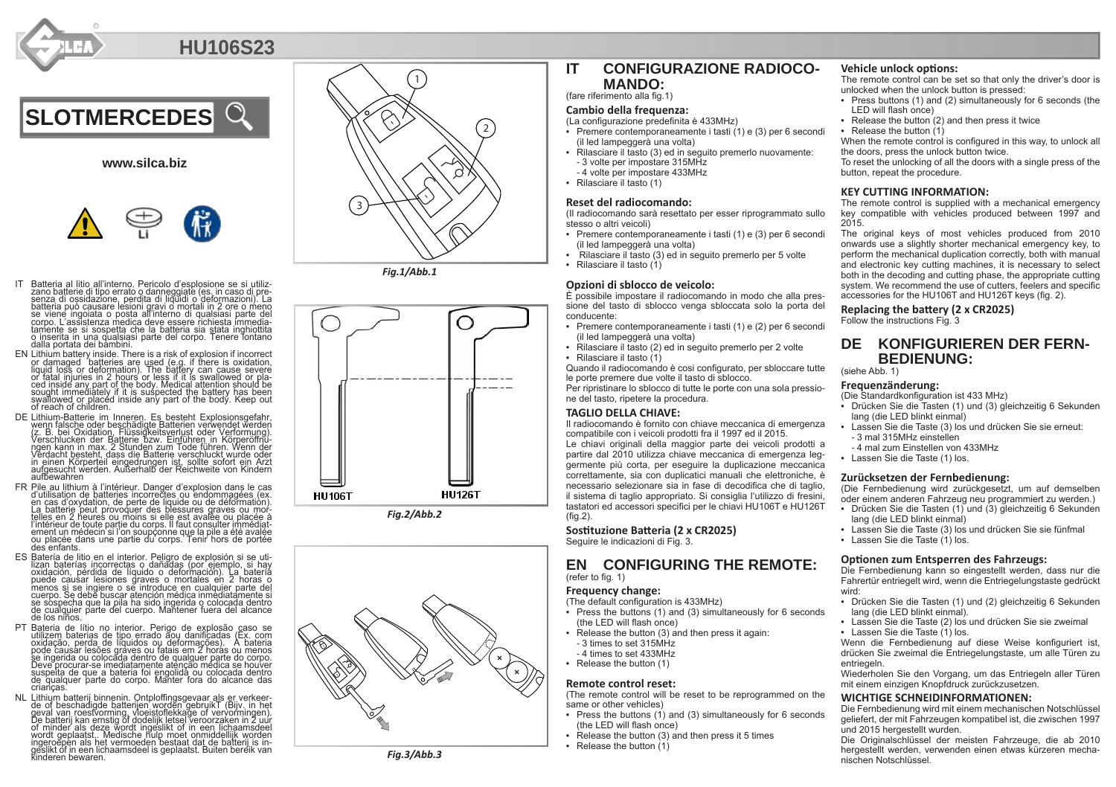

# **HU106S23**



# **www.silca.biz**



- IT Batteria al litio all'interno. Pericolo d'esplosione se si utilizzano batterie di tipo<br>zano batterie di tipo errato o danneggiate (es. in caso di pre-<br>senza di ossidazione, perdita di liquidi o deformazioni). La<br>batteri corpo. L'assistenza medica deve essere richiesta immedia-<br>tamente se si sospetta che la batteria sia stata inghiottita<br>o inserita in una qualsiasi parte del corpo. Tenere lontano dalla portata dei bambini.
- EN Lithium battery inside. There is a risk of explosion if incorrect or damaged batteries are used (e.g. if there is oxidation, liquid loss or deformation). The battery can cause severe or fatal injuries in 2 hours or less if it is swallowed or pla-<br>ced inside any part of the body. Medical attention should be<br>sought immediately if it is suspected the battery has been<br>swallowed or placed inside any part of
- DE Lithium-Batterie im Inneren. Es besteht Explosionsgefahr, verwendet werden verwendet werden verwendet werden verwendet verwendet verwendet verwendet verwendet verwendet verwendet verwendet verwendet verwendet verwendet
- FR Pile au lithium à l'intérieur. Danger d'explosion dans le cas d'utilisation de batteries incorrectes ou endommagées, (ex.<br>en cas d'oxydation, de perfe de liquide ou de déformation).<br>La batterie peut provoquer des plessures graves ou mor-<br>l'intérieur de boute parlie durains il figure
- des enfants.<br>
ES Batería de litio en el interior. Peligro de explosión si se uti-<br>
lizan baterías incorrectas o dañadas (por ejemplo, si hay<br>
izvalación, pérdida de líquido o deformación). La batería<br>
puede causar lesiones de cualquier parte del cuerpo. Mantener fuera del alcance de los niños.
- PT Bateria de lítio no interior. Perigo de explosão caso se utilizem baterias de tipo errado ăou danificadas (Ex. com<br>oxidação, perda de líquidos ou deformações). A bateria<br>pode causar lesões graves ou fatais em 2 horas ou menos se ingerida ou colocăda dentro de qualquer parte do corpo.<br>Deve procurar-se imediatamente atenção médica se houver<br>suspeita de que a bateria foi engolida ou colocada dentro de qualquer parte do corpo. Manter fora do alcance das crianças.
- NL Lithium batterij binnenin. Ontploffingsgevaar als er verkeer-<br>de of beschadigde batterijen worden gebruikT (Bijv. in het<br>geval van roestvorming, vloeistoflekkage of vervormingen).<br>De batterij kan ernstig of dodelijk let of minder als deze wordt ingeslikt of in een lichaamsdeel<br>wordt geplaatst.. Medische hulp moet onmiddellijk worden<br>ingeroepen als het vermoeden bestaat dat de batterij is iningeroĕpèn als het vermoeden 'bestaat dat de batterij is in-<br>geslikt of in een lichaamsdeel is geplaatst. Buiten bereik van<br>kinderen bewaren.



*Fig.1/Abb.1*







# **IT CONFIGURAZIONE RADIOCO - MANDO:**

# (fare riferimento alla fig.1)

## **Cambio della frequenza:**

- (La configurazione predefinita è 433MHz)
- Premere contemporaneamente i tasti (1) e (3) per 6 secondi (il led lampeggerà una volta)
- Rilasciare il tasto (3) ed in seguito premerlo nuovamente: - 3 volte per impostare 315MHz
- 4 volte per impostare 433MHz
- Rilasciare il tasto (1)

### **Reset del radiocomando:**

(Il radiocomando sarà resettato per esser riprogrammato sullo stesso o altri veicoli)

- Premere contemporaneamente i tasti (1) e (3) per 6 secondi (il led lampeggerà una volta)
- Rilasciare il tasto (3) ed in seguito premerlo per 5 volte
- Rilasciare il tasto (1)

#### **Opzioni di sblocco de veicolo:**

È possibile impostare il radiocomando in modo che alla pres sione del tasto di sblocco venga sbloccata solo la porta del conducente:

- Premere contemporaneamente i tasti (1) e (2) per 6 secondi (il led lampeggerà una volta)
- Rilasciare il tasto (2) ed in seguito premerlo per 2 volte • Rilasciare il tasto (1)

Quando il radiocomando è cosi configurato, per sbloccare tutte

le porte premere due volte il tasto di sblocco. Per ripristinare lo sblocco di tutte le porte con una sola pressio ne del tasto, ripetere la procedura.

#### **TAGLIO DELLA CHIAVE:**

Il radiocomando è fornito con chiave meccanica di emergenza compatibile con i veicoli prodotti fra il 1997 ed il 2015.

Le chiavi originali della maggior parte dei veicoli prodotti a partire dal 2010 utilizza chiave meccanica di emergenza leg germente più corta, per eseguire la duplicazione meccanica correttamente, sia con duplicatici manuali che elettroniche, è necessario selezionare sia in fase di decodifica che di taglio, il sistema di taglio appropriato. Si consiglia l'utilizzo di fresini, tastatori ed accessori specifici per le chiavi HU106T e HU126T (fig.2).

**Sostituzione Batteria (2 x CR2025)** 

Seguire le indicazioni di Fig. 3.

## **EN CONFIGURING THE REMOTE:** (refer to fig. 1)

#### **Frequency change:**

- (The default configuration is 433MHz) • Press the buttons (1) and (3) simultaneously for 6 seconds (the LED will flash once)
- Release the button (3) and then press it again:
- 3 times to set 315MHz
- 4 times to set 433MHz
- Release the button (1)

#### **Remote control reset:**

(The remote control will be reset to be reprogrammed on the same or other vehicles)

- Press the buttons (1) and (3) simultaneously for 6 seconds (the LED will flash once)
- Release the button (3) and then press it 5 times
- Release the button (1)

#### **Vehicle unlock options:**

The remote control can be set so that only the driver's door is unlocked when the unlock button is pressed:

- Press buttons (1) and (2) simultaneously for 6 seconds (the LED will flash once)
- Release the button (2) and then press it twice
- 

• Release the button (1) When the remote control is configured in this way, to unlock all the doors, press the unlock button twice.

To reset the unlocking of all the doors with a single press of the button, repeat the procedure.

#### **KEY CUTTING INFORMATION:**

The remote control is supplied with a mechanical emergency key compatible with vehicles produced between 1997 and 2015.

The original keys of most vehicles produced from 2010 onwards use a slightly shorter mechanical emergency key, to perform the mechanical duplication correctly, both with manual and electronic key cutting machines, it is necessary to select both in the decoding and cutting phase, the appropriate cutting system. We recommend the use of cutters, feelers and specific accessories for the HU106T and HU126T keys (fig. 2).

**Replacing the battery (2 x CR2025)**

Follow the instructions Fig. 3

# **DE KONFIGURIEREN DER FERN - BEDIENUNG:**

(siehe Abb. 1)

#### **Frequenzänderung:**

(Die Standardkonfiguration ist 433 MHz)

- Drücken Sie die Tasten (1) und (3) gleichzeitig 6 Sekunden lang (die LED blinkt einmal)
- Lassen Sie die Taste (3) los und drücken Sie sie erneut: - 3 mal 315MHz einstellen
	- 4 mal zum Einstellen von 433MHz
- Lassen Sie die Taste (1) los.

#### **Zurücksetzen der Fernbedienung:**

(Die Fernbedienung wird zurückgesetzt, um auf demselben oder einem anderen Fahrzeug neu programmiert zu werden.)

- Drücken Sie die Tasten (1) und (3) gleichzeitig 6 Sekunden lang (die LED blinkt einmal)
- Lassen Sie die Taste (3) los und drücken Sie sie fünfmal
- Lassen Sie die Taste (1) los.

#### **Optionen zum Entsperren des Fahrzeugs:**

Die Fernbedienung kann so eingestellt werden, dass nur die Fahrertür entriegelt wird, wenn die Entriegelungstaste gedrückt wird:

- Drücken Sie die Tasten (1) und (2) gleichzeitig 6 Sekunden lang (die LED blinkt einmal).
- Lassen Sie die Taste (2) los und drücken Sie sie zweimal
- Lassen Sie die Taste (1) los.

Wenn die Fernbedienung auf diese Weise konfiguriert ist. drücken Sie zweimal die Entriegelungstaste, um alle Türen zu entriegeln.

Wiederholen Sie den Vorgang, um das Entriegeln aller Türen mit einem einzigen Knopfdruck zurückzusetzen.

### **WICHTIGE SCHNEIDINFORMATIONEN:**

Die Fernbedienung wird mit einem mechanischen Notschlüssel geliefert, der mit Fahrzeugen kompatibel ist, die zwischen 1997 und 2015 hergestellt wurden.

Die Originalschlüssel der meisten Fahrzeuge, die ab 2010 hergestellt werden, verwenden einen etwas kürzeren mecha nischen Notschlüssel.